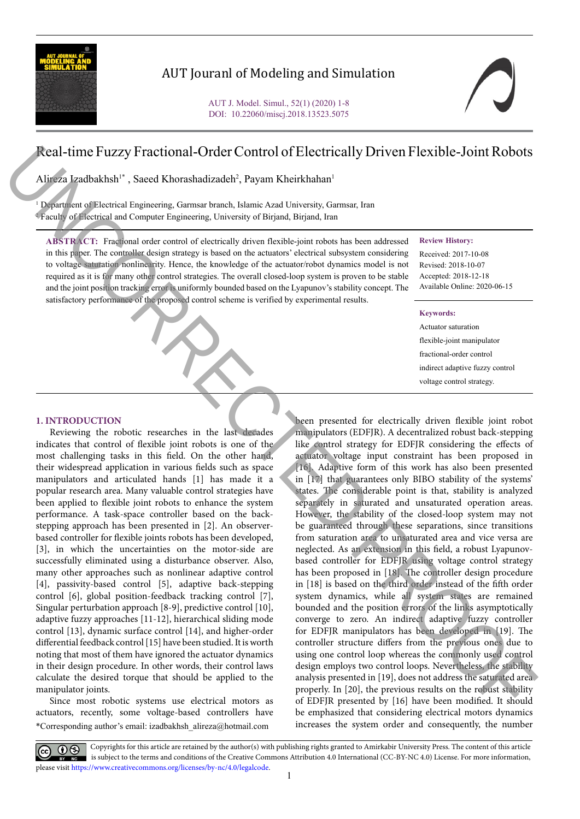

# AUT Jouranl of Modeling and Simulation

# Real-time Fuzzy Fractional-Order Control of Electrically Driven Flexible-Joint Robots

Alireza Izadbakhsh<sup>1\*</sup>, Saeed Khorashadizadeh<sup>2</sup>, Payam Kheirkhahan<sup>1</sup>

1 Department of Electrical Engineering, Garmsar branch, Islamic Azad University, Garmsar, Iran 2 Faculty of Electrical and Computer Engineering, University of Birjand, Birjand, Iran

**ABSTRACT:** Fractional order control of electrically driven flexible-joint robots has been addressed in this paper. The controller design strategy is based on the actuators' electrical subsystem considering to voltage saturation nonlinearity. Hence, the knowledge of the actuator/robot dynamics model is not required as it is for many other control strategies. The overall closed-loop system is proven to be stable and the joint position tracking error is uniformly bounded based on the Lyapunov's stability concept. The satisfactory performance of the proposed control scheme is verified by experimental results.

### **Review History:**

Received: 2017-10-08 Revised: 2018-10-07 Accepted: 2018-12-18 Available Online: 2020-06-15

#### **Keywords:**

Actuator saturation flexible-joint manipulator fractional-order control indirect adaptive fuzzy control voltage control strategy.

## **1. INTRODUCTION**

Reviewing the robotic researches in the last decades indicates that control of flexible joint robots is one of the most challenging tasks in this field. On the other hand, their widespread application in various fields such as space manipulators and articulated hands [1] has made it a popular research area. Many valuable control strategies have been applied to flexible joint robots to enhance the system performance. A task-space controller based on the backstepping approach has been presented in [2]. An observerbased controller for flexible joints robots has been developed, [3], in which the uncertainties on the motor-side are successfully eliminated using a disturbance observer. Also, many other approaches such as nonlinear adaptive control [4], passivity-based control [5], adaptive back-stepping control [6], global position-feedback tracking control [7], Singular perturbation approach [8-9], predictive control [10], adaptive fuzzy approaches [11-12], hierarchical sliding mode control [13], dynamic surface control [14], and higher-order differential feedback control [15] have been studied. It is worth noting that most of them have ignored the actuator dynamics in their design procedure. In other words, their control laws calculate the desired torque that should be applied to the manipulator joints.

\*Corresponding author's email: izadbakhsh\_alireza@hotmail.com Since most robotic systems use electrical motors as actuators, recently, some voltage-based controllers have

been presented for electrically driven flexible joint robot manipulators (EDFJR). A decentralized robust back-stepping like control strategy for EDFJR considering the effects of actuator voltage input constraint has been proposed in [16]. Adaptive form of this work has also been presented in [17] that guarantees only BIBO stability of the systems' states. The considerable point is that, stability is analyzed separately in saturated and unsaturated operation areas. However, the stability of the closed-loop system may not be guaranteed through these separations, since transitions from saturation area to unsaturated area and vice versa are neglected. As an extension in this field, a robust Lyapunovbased controller for EDFJR using voltage control strategy has been proposed in [18]. The controller design procedure in [18] is based on the third order instead of the fifth order system dynamics, while all system states are remained bounded and the position errors of the links asymptotically converge to zero. An indirect adaptive fuzzy controller for EDFJR manipulators has been developed in [19]. The controller structure differs from the previous ones due to using one control loop whereas the commonly used control design employs two control loops. Nevertheless, the stability analysis presented in [19], does not address the saturated area properly. In [20], the previous results on the robust stability of EDFJR presented by [16] have been modified. It should be emphasized that considering electrical motors dynamics increases the system order and consequently, the number **Excel-time Fuzzy Fractional-Order Control of Electrically Driven Flexible-Joint Robots<br>
Superior distribution (1), and Kherakukinaide (1), and the state of the state of the state of the state of the state of the state of** 

Copyrights for this article are retained by the author(s) with publishing rights granted to Amirkabir University Press. The content of this article is subject to the terms and conditions of the Creative Commons Attribution 4.0 International (CC-BY-NC 4.0) License. For more information, please visit https://www.creativecommons.org/licenses/by-nc/4.0/legalcode.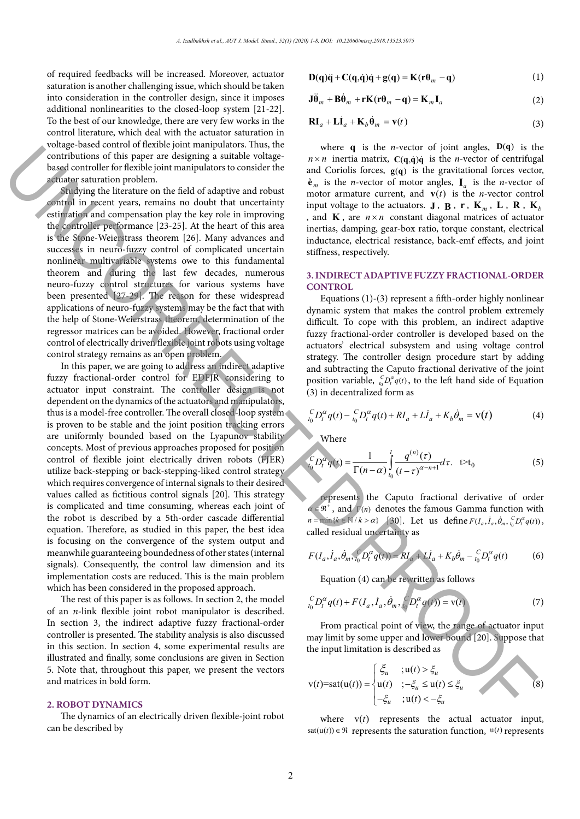of required feedbacks will be increased. Moreover, actuator saturation is another challenging issue, which should be taken into consideration in the controller design, since it imposes additional nonlinearities to the closed-loop system [21-22]. To the best of our knowledge, there are very few works in the control literature, which deal with the actuator saturation in voltage-based control of flexible joint manipulators. Thus, the contributions of this paper are designing a suitable voltagebased controller for flexible joint manipulators to consider the actuator saturation problem.

Studying the literature on the field of adaptive and robust control in recent years, remains no doubt that uncertainty estimation and compensation play the key role in improving the controller performance [23-25]. At the heart of this area is the Stone-Weierstrass theorem [26]. Many advances and successes in neuro-fuzzy control of complicated uncertain nonlinear multivariable systems owe to this fundamental theorem and during the last few decades, numerous neuro-fuzzy control structures for various systems have been presented [27-29]. The reason for these widespread applications of neuro-fuzzy systems may be the fact that with the help of Stone-Weierstrass theorem, determination of the regressor matrices can be avoided. However, fractional order control of electrically driven flexible joint robots using voltage control strategy remains as an open problem.

In this paper, we are going to address an indirect adaptive fuzzy fractional-order control for EDFJR considering to actuator input constraint. The controller design is not dependent on the dynamics of the actuators and manipulators, thus is a model-free controller. The overall closed-loop system is proven to be stable and the joint position tracking errors are uniformly bounded based on the Lyapunov stability concepts. Most of previous approaches proposed for position control of flexible joint electrically driven robots (FJER) utilize back-stepping or back-stepping-liked control strategy which requires convergence of internal signals to their desired values called as fictitious control signals [20]. This strategy is complicated and time consuming, whereas each joint of the robot is described by a 5th-order cascade differential equation. Therefore, as studied in this paper, the best idea is focusing on the convergence of the system output and meanwhile guaranteeing boundedness of other states (internal signals). Consequently, the control law dimension and its implementation costs are reduced. This is the main problem which has been considered in the proposed approach. Consideration of the space of a significant between  $\epsilon$  that is a second of the space of a significant between  $\epsilon$  that is a second of the space of a significant problem is a significant between  $\epsilon$  the space of a sign

The rest of this paper is as follows. In section 2, the model of an *n*-link flexible joint robot manipulator is described. In section 3, the indirect adaptive fuzzy fractional-order controller is presented. The stability analysis is also discussed in this section. In section 4, some experimental results are illustrated and finally, some conclusions are given in Section 5. Note that, throughout this paper, we present the vectors and matrices in bold form.

#### **2. ROBOT DYNAMICS**

The dynamics of an electrically driven flexible-joint robot can be described by

$$
\mathbf{D}(\mathbf{q})\ddot{\mathbf{q}} + \mathbf{C}(\mathbf{q}, \dot{\mathbf{q}})\dot{\mathbf{q}} + \mathbf{g}(\mathbf{q}) = \mathbf{K}(\mathbf{r}\boldsymbol{\theta}_m - \mathbf{q})
$$
\n(1)

$$
\mathbf{J}\ddot{\mathbf{\Theta}}_m + \mathbf{B}\dot{\mathbf{\Theta}}_m + \mathbf{r}\mathbf{K}(\mathbf{r}\mathbf{\theta}_m - \mathbf{q}) = \mathbf{K}_m \mathbf{I}_a \tag{2}
$$

$$
\mathbf{RI}_a + \mathbf{Li}_a + \mathbf{K}_b \hat{\mathbf{\theta}}_m = \mathbf{v}(t)
$$
 (3)

where  $\mathbf{q}$  is the *n*-vector or joint angles,  $\mathcal{D}(\mathbf{q})$  is and Coriolis forces,  $g(q)$  is the gravitational forces vector,  $\lambda$  is the gravitational forces vector,  $\lambda$  $\hat{\mathbf{e}}_m$  is the *n*-vector of motor angles,  $\mathbf{I}_a$  is the *n*-vector of input voltage to the actuators.  $J, B, r, K_m, L, R, K_b$ and **K**, are  $n \times n$  constant diagonal matrices of actuator inertias, damping, gear-box ratio, torque constant, electrical internationally going the same, the containing international<br>stiffness measuring estimate, back-emf effects, and joint  $\frac{d}{dx}$ where  $q$  is the *n*-vector of joint angles,  $D(q)$  is the  $n \times n$  inertia matrix,  $C(q,\dot{q})\dot{q}$  is the *n*-vector of centrifugal motor armature current, and  $\mathbf{v}(t)$  is the *n*-vector control stiffness, respectively.

#### 3 INDIRECT ADAPTIVE ELIZZY ER ACTIONAL ORD  $\text{CONTROL}$ **3. INDIRECT ADAPTIVE FUZZY FRACTIONAL-ORDER**

Equations (1)-(3) represent a fifth-order highly nonlinear difficult. To cope with this problem, an indirect adaptive fuzzy fractional-order controller is developed based on the actuators' electrical subsystem and using voltage control strategy. The controller design procedure start by adding and subtracting the Caputo fractional derivative of the joint position variable,  ${}_{t_0}^{C}D_t^{\alpha}q(t)$ , to the left hand side of Equation  $\overline{a}$ (3) in decentralized form as dynamic system that makes the control problem extremely<br>
discussed that makes the control problem extremely

$$
{}_{t_0}^{C}D_t^{\alpha}q(t) - {}_{t_0}^{C}D_t^{\alpha}q(t) + RI_a + L\dot{I}_a + K_b\dot{\theta}_m = \mathbf{V}(t)
$$
 (4)

**C**<br>Where **the U.S. in the left hand side of Equation (3) in the left hand side of Equation (3) in the left hand side of Equation (3) in the left hand side of Equation (3) in the left hand side of Equation (3) in the left of \mathcal{L}**  $\mathbf{W}$  band side of  $\mathbf{W}$  $\mathcal{L}$  and  $\mathcal{L}$ 

 $\overline{0}$ 

$$
\int_{t_0}^{C} D_t^{\alpha} q(t) = \frac{1}{\Gamma(n-\alpha)} \int_{t_0}^{t} \frac{q^{(n)}(\tau)}{(t-\tau)^{\alpha-n+1}} d\tau. \quad \forall t_0
$$
 (5)

represents the Caputo fractional derivative of order  $\alpha \in \mathfrak{R}^+$ , and  $\Gamma(n)$  denotes the famous Gamma function with represents the Caputo fractional derivative of order  $n = \min\{k \in \mathbb{N} / k > \alpha\}$  [30]. Let us define  $F(I_a, \dot{I}_a, \dot{\theta}_m, \frac{C}{t_0} D_t^{\alpha} q(t))$ , called residual uncertainty as

$$
F(I_a, \dot{I}_a, \dot{\theta}_m, \, \zeta_0 D_t^{\alpha} q(t)) = RI_a + L\dot{I}_a + K_b \dot{\theta}_m - \zeta_0 D_t^{\alpha} q(t) \tag{6}
$$

Equation (4) can be rewritten as follows

$$
{}_{t_0}^C D_t^{\alpha} q(t) + F(I_a, \dot{I}_a, \dot{\theta}_m, {}_{t_0}^C D_t^{\alpha} q(t)) = \mathbf{v}(t)
$$
\n(7)

From practical point of view, the range of actuator input may limit by some upper and lower bound [20]. Suppose that the input limitation is described as

$$
v(t)=sat(u(t))=\begin{cases} \xi_u & ;u(t)>\xi_u\\ u(t) & ;-\xi_u\leq u(t)\leq \xi_u\\ -\xi_u & ;u(t)<-\xi_u \end{cases}
$$
(8)

where  $v(t)$  represents the actual actuator input, sat( $u(t)$ ) ∈  $\Re$  represents the saturation function,  $u(t)$  represents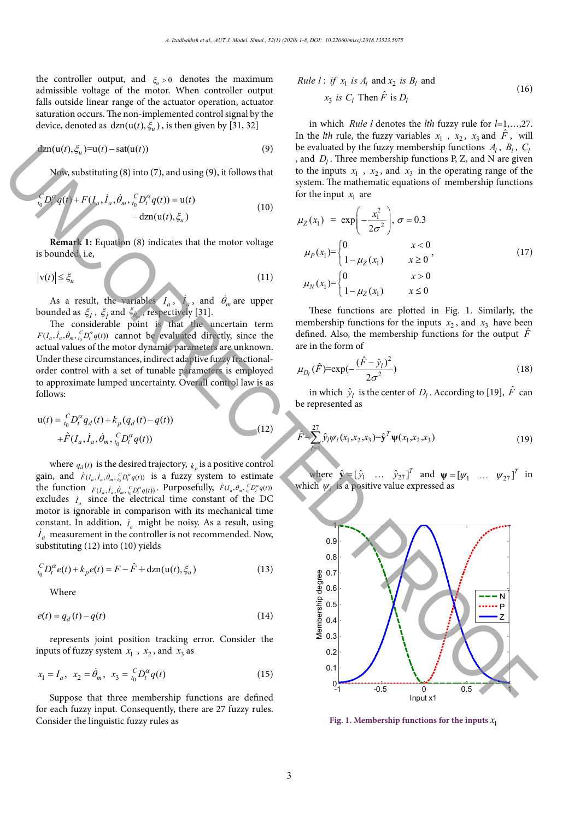the controller output, and  $\xi_{\mu} > 0$  denotes the maximum admissible voltage of the motor. When controller output falls outside linear range of the actuator operation, actuator saturation occurs. The non-implemented control signal by the device, denoted as  $dzn(u(t), \xi_u)$ , is then given by [31, 32]

$$
\text{d}2n(u(t), \xi_u) = u(t) - \text{sat}(u(t))\tag{9}
$$

Now, substituting (8) into (7), and using (9), it follows that

$$
{}_{t_0}^C D_t^{\alpha} q(t) + F(I_a, \dot{I}_a, \dot{\theta}_m, {}_{t_0}^C D_t^{\alpha} q(t)) = u(t) - d_{\text{Zn}}(u(t), \xi_u)
$$
 (10)

**Remark 1:** Equation (8) indicates that the motor voltage is bounded, i.e,  $\mathbf{1}.\mathbf{1}.\mathbf{e}$  $\bullet$  ,  $\bullet$  ,  $\bullet$ *C*  $\sim$ *t* the positive definition of  $\mathbf{r}$  $i.e.$ 

and the contract of the contract of

$$
|\mathbf{v}(t)| \leq \xi_u \tag{11}
$$

As a result, the variables  $I_a$ ,  $\dot{I}_a$ , and  $\dot{\theta}_m$  are upper bounded as  $\xi_1$ ,  $\xi_j$  and  $\xi_{\hat{\theta}_m}$ , respectively [31].<br>The considerable noint is that the uncertain term

The considerable point is that the uncertain term The considerable point is that the uncertain term<br> $F(I_a, i_a, \dot{\theta}_m, \frac{c}{b}D_i^{\alpha}q(t))$  cannot be evaluated directly, since the actual values of the motor dynamic parameters are unknown. actual values or the motor dynamic parameters are unknown.<br>Under these circumstances, indirect adaptive fuzzy fractionalorder control with a set of tunable parameters is employed France control with a comparison with its comparison with its mechanical time comproy can be constant. follows: addition, *<sup>a</sup> I* might be noisy. As a result, using *<sup>a</sup> I* addition, *<sup>a</sup> I* might be noisy. As a result, using *<sup>a</sup> I*

$$
u(t) = \binom{C}{t_0} \frac{p^{\alpha}}{t} q_d(t) + k_p (q_d(t) - q(t))
$$
  
+  $\hat{F}(I_a, \dot{I}_a, \dot{\theta}_m, \binom{C}{t_0} \frac{p^{\alpha}}{t} q(t))$  (12)

measurement in the controller is not recommended.

where  $q_d(t)$  is the desired trajectory,  $k_p$  is a positive control where  $q_d(t)$  is the desired differently,  $\kappa_p$  is a positive control gain, and  $\hat{F}(I_a, I_a, \dot{\theta}_m, \frac{c}{b} D_i^a q(t))$  is a fuzzy system to estimate the function  $F(I_a, i_a, \dot{\theta}_n, {}^C_a D^{\alpha} q(t))$ . Purposefully,  $\hat{F}(I_a, \dot{\theta}_n, {}^C_a D^{\alpha} q(t))$ excludes  $i_a$  since the electrical time constant of the DC motor is ignorable in comparison with its mechanical time constant. In addition,  $i_a$  might be noisy. As a result, using  $\hat{I}_a$  measurement in the controller is not recommended. Now,  $\hat{I}_a$ substituting (12) into (10) yields

$$
{}_{t_0}^{C}D_t^{\alpha}e(t) + k_p e(t) = F - \hat{F} + \text{d}z_n(u(t), \xi_u)
$$
\n(13)

Where  $f(t)$  $\overline{v}$  rules  $\overline{v}$  $\epsilon$  for each function  $\epsilon$  in put. Consequently, there are 27 function  $\epsilon$ 

$$
e(t) = q_d(t) - q(t) \tag{14}
$$

represents joint position tracking error. Consider the inputs of fuzzy system  $x_1$ ,  $x_2$ , and  $x_3$  as joint position track

$$
x_1 = I_a, \ \ x_2 = \dot{\theta}_m, \ \ x_3 = \frac{C}{t_0} D_t^{\alpha} q(t) \tag{15}
$$

Suppose that three membership functions are defined for each fuzzy input. Consequently, there are 27 fuzzy rules. Consider the linguistic fuzzy rules as

*Rule l*: if 
$$
x_1
$$
 is  $A_l$  and  $x_2$  is  $B_l$  and  
 $x_3$  is  $C_l$  Then  $\hat{F}$  is  $D_l$  (16)

in which *Rule l* denotes the *lth* fuzzy rule for *l*=1,…,27. In the *lth* rule, the fuzzy variables  $x_1$ ,  $x_2$ ,  $x_3$  and  $\hat{F}$ , will be evaluated by the fuzzy membership functions  $A_l$ ,  $B_l$ ,  $C_l$ , and  $D_l$ . Three membership functions P, Z, and N are given to the inputs  $x_1$ ,  $x_2$ , and  $x_3$  in the operating range of the system. The mathematic equations of membership functions 2 for the input  $x_1$  are  $-$ 

$$
\mu_Z(x_1) = \exp\left(-\frac{x_1^2}{2\sigma^2}\right), \sigma = 0.3
$$
\n
$$
\mu_P(x_1) = \begin{cases}\n0 & x < 0 \\
1 - \mu_Z(x_1) & x \ge 0\n\end{cases},
$$
\n
$$
\mu_N(x_1) = \begin{cases}\n0 & x > 0 \\
1 - \mu_Z(x_1) & x \le 0\n\end{cases}
$$
\n(17)

These functions are plotted in Fig. 1. Similarly, the membership functions for the inputs  $x_2$ , and  $x_3$  have been defined. Also, the membership functions for the output  $\hat{F}$ are in the form of

$$
\mu_{D_l}(\hat{F}) = \exp(-\frac{(\hat{F} - \hat{y}_l)^2}{2\sigma^2})
$$
\n(18)

in which  $\hat{y}_l$  is the center of  $D_l$ . According to [19],  $\hat{F}$  can<br>be represented as be represented as

can be represented as

$$
\hat{F} = \sum_{l=1}^{27} \hat{y}_l \psi_l(x_1, x_2, x_3) = \hat{\mathbf{y}}^T \mathbf{\Psi}(x_1, x_2, x_3)
$$
\n(19)

where  $\hat{\mathbf{y}} = [\hat{y}_1 \quad \dots \quad \hat{y}_{27}]^T$  and  $\mathbf{\psi} = [\psi_1 \quad \dots \quad \psi_{27}]^T$  in which *<sup>l</sup>* is a positive value expressed as which *<sup>l</sup>* is a positive value expressed as which <sup>ψ</sup>*l* is a positive value expressed as



() ( ) () (, ,) *xx x xx x* Fig. 1. Membership functions for the inputs  $x_1$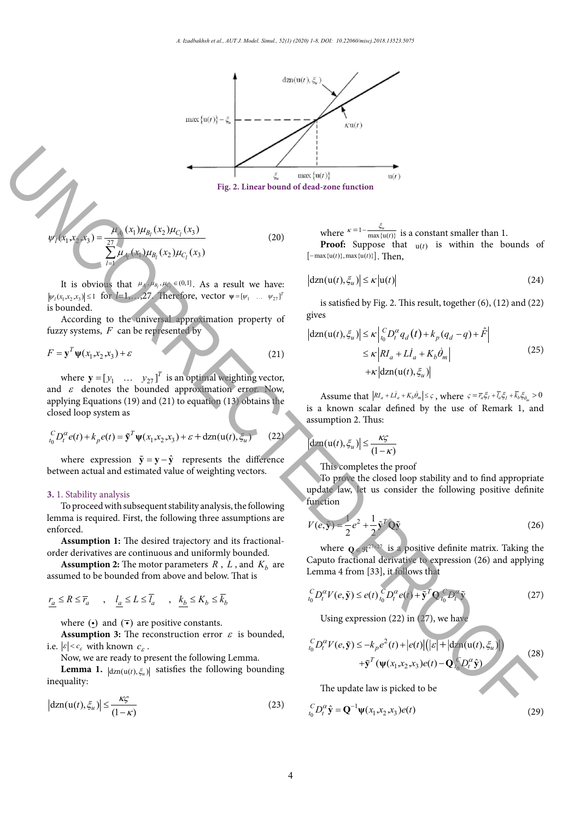

$$
\psi_{I}(x_{1}, x_{2}, x_{3}) = \frac{\mu_{A_{I}}(x_{1})\mu_{B_{I}}(x_{2})\mu_{C_{I}}(x_{3})}{\sum_{l=1}^{27}\mu_{A_{I}}(x_{1})\mu_{B_{I}}(x_{2})\mu_{C_{I}}(x_{3})}
$$
\n(20)\nwhere  $\kappa = 1 - \frac{\xi_{1}}{\max\{1\}}$   
\n**Proof:** Suppose [-max{*u*(*t*)}, max{*u*(*t*)}]

obtains the closed loop system as  $\mathcal{L}$ 

 $N_{\rm eff}$  and (21) and (21) to equations (13) to equations (13) to equations (13) to equation (13) to equation (13) to equation (13) to equation (13) to equation (13) to equation (13) to equation (13) to equation (13) to e

It is obvious that  $\mu_A, \mu_{B_i}, \mu_{C_i} \in (0,1]$ . As a result we have:  $|dzn(u(t), \xi_u)| \le \kappa |u|$  $|\psi_1(x_1, x_2, x_3)| \le 1$  for  $l=1,...,27$ . Therefore, vector  $\psi = [\psi_1 \dots \psi_{27}]^T$ is bounded.

According to the universal approximation property of gives fuzzy systems, F can be represented by

$$
F = \mathbf{y}^T \psi(x_1, x_2, x_3) + \varepsilon \tag{21}
$$

where  $\mathbf{y} = [y_1 \dots y_{27}]^T$  is an optimal weighting vector, and  $\varepsilon$  denotes the bounded approximation error. Now, applying Equations  $(19)$  and  $(21)$  to equation  $(13)$  obtains the closed loop system as **Assumption 2:** The motor parameters *R* , *L* , and *Kb*

$$
{}_{t_0}^C D_t^{\alpha} e(t) + k_p e(t) = \tilde{\mathbf{y}}^T \mathbf{\Psi}(x_1, x_2, x_3) + \varepsilon + \mathrm{d}\mathbf{z} \mathbf{n}(\mathbf{u}(t), \xi_u)
$$
 (22)

where expression  $\tilde{\mathbf{y}} = \mathbf{y} - \hat{\mathbf{y}}$  represents the difference between actual and estimated value of weighting vectors. is

## $\mathbf{b}$ . I. Stability analysis **3.** 1. Stability analysis

To proceed with subsequent stability analysis, the following 3. **1. Stability analysis** enforced. lemma is required. First, the following three assumptions are

order derivatives are continuous and uniformly bounded. orced.<br>**Assumption 1:** The desired trajectory and its fractional-

**hassumption 2:** The motor parameters  $R$ ,  $L$ , and  $K_b$  are Assumption 2. The motor parameters  $\hat{R}$ ,  $\hat{B}$ , and  $\hat{R}$ <sub>*p*</sub> are assumed to be bounded from above and below. That is

$$
\underline{r_a} \leq R \leq \overline{r_a} \qquad , \quad \underline{l_a} \leq L \leq \overline{l_a} \qquad , \quad \underline{k_b} \leq K_b \leq \overline{k_b}
$$

where where  $\left(\cdot\right)$  and  $\left(\overline{\cdot}\right)$  are positive constants.

**Assumption 3:** The reconstruction error  $\varepsilon$  is bounded, i.e.  $|\varepsilon| < c_c$  with known  $c_c$ . i.e.  $\left|e\right| < \epsilon_{\varepsilon}$  with known  $c_{\varepsilon}$ .<br>Now, we are ready to present the following Lemma **Assumption 3:** The re<br>i.e.  $|\varepsilon| < c_{\varepsilon}$  with known  $c_{\varepsilon}$ .

Now, we are ready to present the following Lemma.

 , , *a a a a b bb r Rr l Ll k K k* , , *a a a a b bb r Rr l Ll k K k* inequality: **Lemma 1.**  $|dzn(u(t), \xi_u)|$  satisfies the following bounding **Proof:** Suppose that up that up the bounds of  $\mathbf{r}$  is within the bounds of  $\mathbf{r}$  is within the bounds of  $\mathbf{r}$ 

$$
\left|\mathrm{d}\mathrm{zn}(\mathrm{u}(t),\xi_u)\right| \leq \frac{\kappa\varsigma}{(1-\kappa)}
$$
\n(23)

where  $\kappa = 1 - \frac{\xi_u}{\max\{u(t)\}}$  is a constant smaller than 1. where  $\frac{k-1-\frac{S_u}{\max\{u(t)\}}}{\max\{u(t)\}}$  is a constant smaller than 1. 0 *<sup>m</sup> aI a b <sup>I</sup> rl k* = + + is a known scalar defined where  $\lambda$ <sup>-1-</sup> $\frac{max\{u(t)\}}{max}$  is a constant smaller than

 $\overline{\mathcal{O}}$  $[-\max\{u(t)\}, \max\{u(t)\}]$ . Then,  $\overline{\phantom{a}}$  (100 *xx xx xx* and the contract of the contract of **Proof:** Suppose that  $u(t)$  is within the bounds of **by the use of the use of**  $\mathbf{u}(t)$  as written the

$$
\left|\mathrm{d}\mathrm{zn}(\mathrm{u}(t),\xi_u)\right| \leq \kappa \left|\mathrm{u}(t)\right| \tag{24}
$$

 $\sigma$   $\sigma$  ivers is satisfied by Fig. 2. This result, together  $(6)$ ,  $(12)$  and  $(22)$ gives  $\sigma$  ives the close the contract of the contract of  $\sigma$  is finded to find the contract of  $\sigma$ 

$$
|dzn(u(t), \xi_u)| \le \kappa \left| \int_{t_0}^C D_t^{\alpha} q_d(t) + k_p (q_d - q) + \hat{F} \right|
$$
  
\n
$$
\le \kappa \left| RI_a + L\dot{I}_a + K_b \dot{\theta}_m \right|
$$
  
\n
$$
+ \kappa \left| dzn(u(t), \xi_u) \right|
$$
\n(25)

that  $\left|RI_a + L\dot{I}_a + K_b\dot{\theta}\right|$ assumption 2. Thus: is a known scalar defined by the use of Remark 1, and<br>assumption 2 Thus: Assume that  $|RI_a + LI_a + K_b \dot{\theta}_m| \leq \varsigma$ , where  $\varsigma = \overline{r}_a \xi_I + \overline{l}_a \xi_I + \overline{k}_b \xi_{\theta_m} > 0$ 

$$
|\mathrm{d}\mathrm{z}\mathbf{n}(\mathbf{u}(t),\xi_u)| \leq \frac{\kappa\varsigma}{(1-\kappa)}
$$

 $(1 - \lambda)$ <br>This completes the proof This completes the proof

To prove the closed loop stability and to find appropriate update law, let us consider the following positive definite To prove the closed loop stability and to find appropriate<br>
under the closed loop stability and to find appropriate  $\frac{1}{\sqrt{2}}$  function

$$
V(e, \tilde{y}) = \frac{1}{2}e^2 + \frac{1}{2}\tilde{y}^TQ\tilde{y}
$$
 (26)

positive definite function Caputo fractional derivative to expression (26) and applying where  $Q \in \mathbb{R}^{27 \times 27}$  is a positive definite matrix. Taking the

Lemma 4 from [33], it follows that  
\n
$$
{}_{t_0}^C D_t^{\alpha} V(e, \tilde{\mathbf{y}}) \le e(t) \, {}_{t_0}^C D_t^{\alpha} e(t) + \tilde{\mathbf{y}}^T \mathbf{Q}_{t_0}^C D_t^{\alpha} \tilde{\mathbf{y}}
$$
\n(27)

the Caputo fractional derivative to expression (26) and  $\mathcal{L}(\mathcal{A})$ Using expression (22) in (27), we have  $\mathcal{L}$  ( ) and  $\mathcal{L}$  dzn(u( ),  $\mathcal{L}$ *D V e k e t et t* − + *y* + **y** + **y** + **y** + **y** + **y** + **y** + **y** + **y** + **y** + **y** + **y** + **y** + **y** + **y** + **y** + **y** + **y** + **y** + **y** + **y** + **y** + **y** + **y** + **y** + **y** + **y** + **y** + **y** + **y** + **y** + **y** + **y** + **y** + **y** + **y** + **y**

**t** the *p*  $\mathbf{p}$   $\mathbf{p}$   $\mathbf{p}$   $\mathbf{p}$   $\mathbf{p}$   $\mathbf{p}$   $\mathbf{p}$   $\mathbf{p}$   $\mathbf{p}$   $\mathbf{p}$   $\mathbf{p}$   $\mathbf{p}$   $\mathbf{p}$   $\mathbf{p}$   $\mathbf{p}$   $\mathbf{p}$   $\mathbf{p}$   $\mathbf{p}$   $\mathbf{p}$   $\mathbf{p}$   $\mathbf{p}$   $\mathbf{p}$   $\mathbf{p}$   $\math$ 

$$
\begin{aligned} \n\binom{C}{t_0} D_t^{\alpha} V(e, \tilde{\mathbf{y}}) &\leq -k_p e^2(t) + |e(t)| \big( \big| \varepsilon \big| + |\mathrm{d} z \mathbf{n}(\mathbf{u}(t), \xi_u)| \big) \\ \n&\quad + \tilde{\mathbf{y}}^T \big( \psi(x_1, x_2, x_3) e(t) - \mathbf{Q}_t \big( D_t^{\alpha} \hat{\mathbf{y}}) \big) \n\end{aligned} \tag{28}
$$

The update law is picked to be

$$
{}_{t_0}^{C}D_t^{\alpha}\hat{\mathbf{y}} = \mathbf{Q}^{-1}\mathbf{\Psi}(x_1,x_2,x_3)e(t)
$$
\n(29)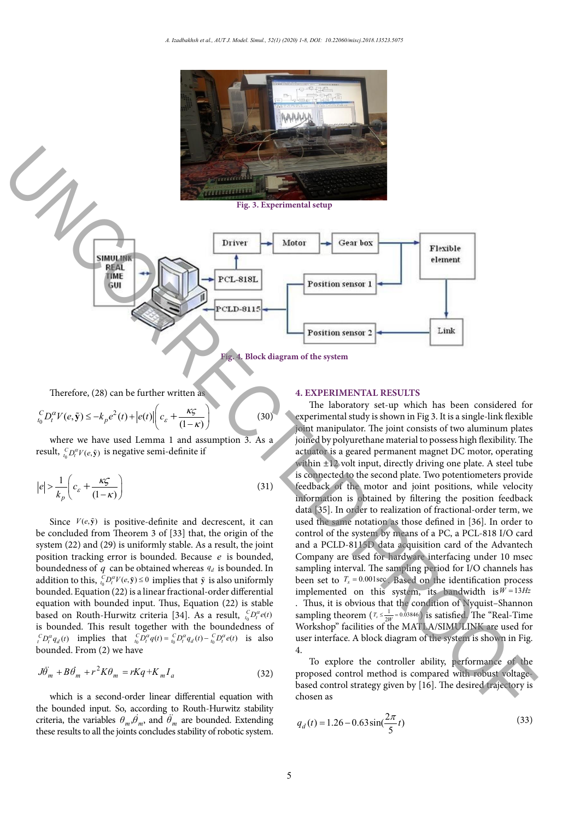

**Fig.3. Experimental setup Fig. 3. Experimental setup**



**Fig.4. Block diagram of the system**

Therefore, (28) can be further written as result, 0 (, )*<sup>C</sup>*

where we have used Lemma 1 and assumption 3. As assumption 3. As assumption 3. As assumption 3. As assumption 3. As assumption 3. As assumption 3. As assumption 3. As assumption 3. As assumption 3. As assumption 3. As assu

where we have used Lemma 1 and assumption 3. As assumption 3. As assumption 3. As assumption 3. As assumption 3. As assumption 3. As assumption 3. As assumption 3. As assumption 3. As assumption 3. As assumption 3. As assu

where  $\mathcal{M}$  and assumption 3. As assumption 3. As assumption 3. As assumption 3. As assumption 3. As assumption 3. As assumption 3. As assumption 3. As assumption 3. As assumption 3. As assumption 3. As assumption 3. A

$$
\binom{C}{t_0} D_t^{\alpha} V(e, \tilde{\mathbf{y}}) \le -k_p e^2(t) + |e(t)| \left( c_{\varepsilon} + \frac{\kappa \varsigma}{(1 - \kappa)} \right)
$$
\nwhere we have used Lemma 1 and assumption 3. As a

where we have used Lemma 1 and assumption 3. As assumption 3. As assumption 3. As assumption 3. As assumption 3. As assumption 3. As assumption 3. As assumption 3. As assumption 3. As assumption 3. As assumption 3. As assu

result,  ${}_{t_0}^{C}D_t^{\alpha}V(e,\tilde{y})$  is negative semi-definite if

$$
|e| > \frac{1}{k_p} \left( c_{\varepsilon} + \frac{\kappa \zeta}{(1 - \kappa)} \right)
$$
 (31)

Since  $V(e, \tilde{y})$  is positive-definite and decrescent, it can<br>be concluded from Theorem 3 of [32] that the origin of the be concluded from Theorem 3 of  $[33]$  that, the origin of the<br>system  $(22)$  and  $(20)$  is uniformly stable. As a graph, the initial system (22) and (29) is uniformly stable. As a result, the joint position tracking error is bounded. Because  $e$  is bounded, boundedness of q can be obtained whereas  $q_d$  is bounded. In addition to this,  ${}_{i_0}^C D_i^{\alpha} V(e, \tilde{y}) \le 0$  implies that  $\tilde{y}$  is also uniformly bounded. Equation (22) is a linear fractional-order differential  $\frac{1}{2}$  bounded. Equation (22) is a finear fractional-order differential equation with bounded input. Thus, Equation (22) is stable based on Routh-Hurwitz criteria [34]. As a result,  ${}_{t_0}^{C}D_t^{\alpha}e(t)$ is bounded. This result together with the boundedness of is bounded. This result together with the boundedness of<br> ${}^{C}_{t}D_{t}^{\alpha}q_{d}(t)$  implies that  ${}^{C}_{t_{0}}D_{t}^{\alpha}q(t) = {}^{C}_{t_{0}}D_{t}^{\alpha}q_{d}(t) - {}^{C}_{t_{0}}D_{t}^{\alpha}e(t)$  is also bounded. From (2) we have From (2) we have From (2) we have From (2) we have From (2) we have  $\frac{1}{2}$   $\frac{1}{2}$   $\frac{1}{2}$   $\frac{1}{2}$   $\frac{1}{2}$   $\frac{1}{2}$   $\frac{1}{2}$   $\frac{1}{2}$   $\frac{1}{2}$   $\frac{1}{2}$   $\frac{1}{2}$   $\frac{1}{2}$   $\frac{1}{2}$   $\frac{1}{2}$   $\frac{1}{2}$   $\frac{1}{2}$   $\frac{1}{2}$   $\frac{1}{2}$   $\frac{1}{2}$   $\frac{1}{2}$   $\frac{1}{2}$   $\frac{1}{2}$  is bounded. This result together with the<br> $C_{D^{\alpha}q_{\alpha}}(t)$  implies that  $C_{D^{\alpha}q(t)-}C_{D^{\alpha}q_{\alpha}}(t)$  $h \cdot h \cdot \theta$ is bounded. This result together with the  $c_{D^{\alpha}q}(t)$  implies that  $c_{D^{\alpha}q}(t) = c_{D^{\alpha}q}(t)$  $\alpha(v)$  **b also** 

$$
J\ddot{\theta}_m + B\dot{\theta}_m + r^2 K\theta_m = rKq + K_m I_a \tag{32}
$$

which is a second-order linear differential equation with chosen as the bounded input. So, according to Routh-Hurwitz stability criteria, the variables  $\theta_m$ ,  $\dot{\theta}_m$ , and  $\dot{\theta}_m$  are bounded. Extending  $q_d(t) = 1.26 - 0.63 \sin(\frac{2\pi}{\epsilon}t)$ these results to all the joints concludes stability of robotic system.

# *Ts <sup>W</sup>* 2 *Ts <sup>W</sup>* 2 *Ts <sup>W</sup>* 2 *Ts <sup>W</sup>* **4. EXPERIMENTAL RESULTS**

Shannon sampling theorem ( <sup>1</sup> 0.03846

Shannon sampling theorem ( <sup>1</sup> 0.03846

 $\mathbf{S}$  is the original sampling theorem ( 1  $\mathbf{S}$ 

The laboratory set-up which has been considered for (30) experimental study is shown in Fig 3. It is a single-link flexible joint manipulator. The joint consists of two aluminum plates actuator is a geared permanent magnet DC motor, operating within ±12 volt input, directly driving one plate. A steel tube is connected to the second plate. Two potentiometers provide (31) feedback of the motor and joint positions, while velocity data [35]. In order to realization of fractional-order term, we<br>cent. it can used the same notation as those defined in [36]. In order to and a PCLD-8115D data acquisition card of the Advantech is bounded, Company are used for hardware interfacing under 10 msec bounded. In sampling interval. The sampling period for I/O channels has<br>so uniformly some act to  $T = 0.001$ ses. Reads on the identification process. differential implemented on this system, its bandwidth is  $W = 13Hz$ cult,  ${}_{t_0}^C D_t^{\alpha} e(t)$  sampling theorem  $(\tau_s \le \frac{1}{2W} = 0.03846)$  is satisfied. The "Real-Time" ndedness of Workshop" facilities of the MATLA/SIMULINK are used for and <sup>ˆ</sup> 0.26 *<sup>b</sup> <sup>k</sup>* <sup>=</sup> . 4. prigin of the control of the system by means of a PC, a PCL-818 I/O card<br>control of the system by means of a PC, a PCL-818 I/O card joined by polyurethane material to possess high flexibility. The information is obtained by filtering the position feedback used the same notation as those defined in [36]. In order to been set to  $T_s = 0.001$  sec. Based on the identification process . Thus, it is obvious that the condition of Nyquist–Shannon user interface. A block diagram of the system is shown in Fig. **Fig. 4.** Block diagram of the system  $\mathbb{F}_{k}$  ( $\mathbb{F}_{k}$  + Uncorrected the system of the system  $\mathbb{F}_{k}$  ( $\mathbb{F}_{k}$  ( $\mathbb{F}_{k}$  + Uncorrected the system of the system  $\mathbb{F}_{k}$  ( $\mathbb{F}_{k}$  + Uncorrected the system

(32) proposed control method is compared with robust voltagebased control strategy given by [16]. The desired trajectory is  $\frac{1}{2}$  chosen as can be seen, the proposed controller  $\frac{1}{2}$  controller  $\frac{1}{2}$  controller  $\frac{1}{2}$  controller  $\frac{1}{2}$  controller  $\frac{1}{2}$  controller  $\frac{1}{2}$  controller  $\frac{1}{2}$  controller  $\frac{1}{2}$  control To explore the controller ability, performance of the

$$
q_d(t) = 1.26 - 0.63 \sin(\frac{2\pi}{5}t)
$$
\n(33)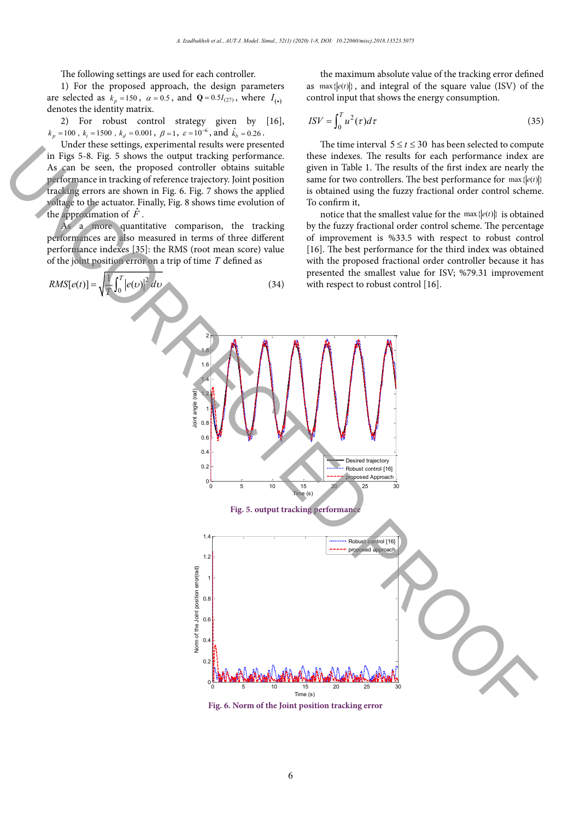The following settings are used for each controller.

1) For the proposed approach, the design parameters are selected as  $k_p = 150$ ,  $\alpha = 0.5$ , and  $Q = 0.5I_{(27)}$ , where  $I_{(•)}$ denotes the identity matrix.

2) For robust control strategy given by [16],  $k_p = 100$ ,  $k_i = 1500$ ,  $k_d = 0.001$ ,  $\beta = 1$ ,  $\varepsilon = 10^{-6}$ , and  $\hat{k}_h = 0.26$ .

Under these settings, experimental results were presented in Figs 5-8. Fig. 5 shows the output tracking performance. As can be seen, the proposed controller obtains suitable performance in tracking of reference trajectory. Joint position tracking errors are shown in Fig. 6. Fig. 7 shows the applied voltage to the actuator. Finally, Fig. 8 shows time evolution of the approximation of  $\ddot{F}$ .

As a more quantitative comparison, the tracking performances are also measured in terms of three different performance indexes [35]: the RMS (root mean score) value of the joint position error on a trip of time *T* defined as



**Fig.6. Norm of the Joint position tracking error**

<sup>0</sup> <sup>5</sup> <sup>10</sup> <sup>15</sup> <sup>20</sup> <sup>25</sup> <sup>30</sup> <sup>0</sup>

Time (s)

the maximum absolute value of the tracking error defined as  $\max\{ |e(t)| \}$ , and integral of the square value (ISV) of the control input that shows the energy consumption.

$$
ISV = \int_0^T u^2(\tau)d\tau
$$
 (35)

The time interval  $5 \le t \le 30$  has been selected to compute these indexes. The results for each performance index are given in Table 1. The results of the first index are nearly the same for two controllers. The best performance for  $\max\{ |e(t)| \}$ is obtained using the fuzzy fractional order control scheme. To confirm it,

notice that the smallest value for the  $\max\{|e(t)|\}$  is obtained by the fuzzy fractional order control scheme. The percentage of improvement is %33.5 with respect to robust control [16]. The best performance for the third index was obtained with the proposed fractional order controller because it has presented the smallest value for ISV; %79.31 improvement with respect to robust control [16].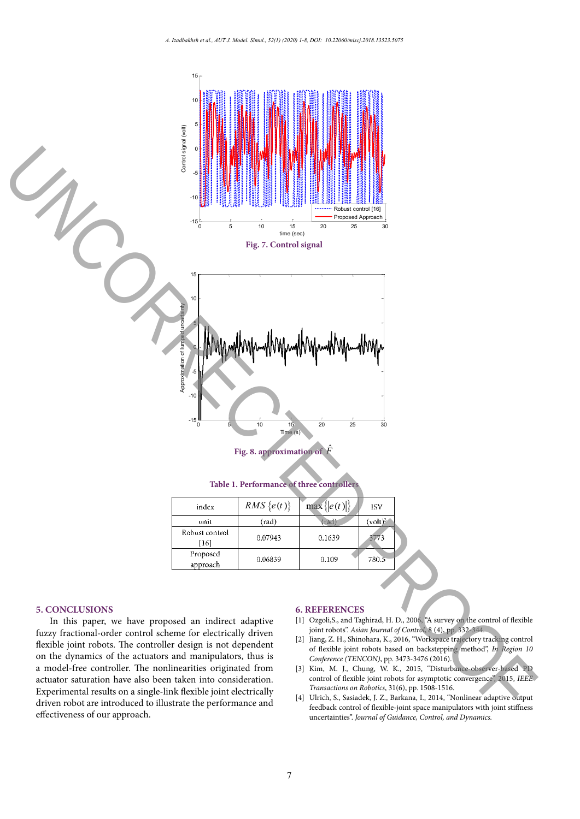

**Fig.8 approximation of** *F*ˆ **Fig. 8. approximation of** *F*ˆ

| index                  | $RMS\{e(t)\}\$ | $\max\{ e(t) \}$ | <b>ISV</b> |
|------------------------|----------------|------------------|------------|
| unit                   | $(\text{rad})$ | rad)             | $(volt)^2$ |
| Robust control<br>[16] | 0.07943        | 0.1639           | 3773       |
| Proposed<br>approach   | 0.06839        | 0.109            | 780.5      |

#### **5. CONCLUSIONS**

In this paper, we have proposed an indirect adaptive fuzzy fractional-order control scheme for electrically driven flexible joint robots. The controller design is not dependent on the dynamics of the actuators and manipulators, thus is a model-free controller. The nonlinearities originated from actuator saturation have also been taken into consideration. Experimental results on a single-link flexible joint electrically driven robot are introduced to illustrate the performance and effectiveness of our approach.

#### **6. REFERENCES**

- [1] Ozgoli,S., and Taghirad, H. D., 2006, "A survey on the control of flexible joint robots". *Asian Journal of Control*, 8 (4), pp. 332-344.
- [2] Jiang, Z. H., Shinohara, K., 2016, "Workspace trajectory tracking control of flexible joint robots based on backstepping method", *In Region 10 Conference (TENCON)*, pp. 3473-3476 (2016).
- [3] Kim, M. J., Chung, W. K., 2015, "Disturbance-observer-based PD control of flexible joint robots for asymptotic convergence", 2015, *IEEE Transactions on Robotics*, 31(6), pp. 1508-1516.
- [4] Ulrich, S., Sasiadek, J. Z., Barkana, I., 2014, "Nonlinear adaptive output feedback control of flexible-joint space manipulators with joint stiffness uncertainties". *Journal of Guidance, Control, and Dynamics.*